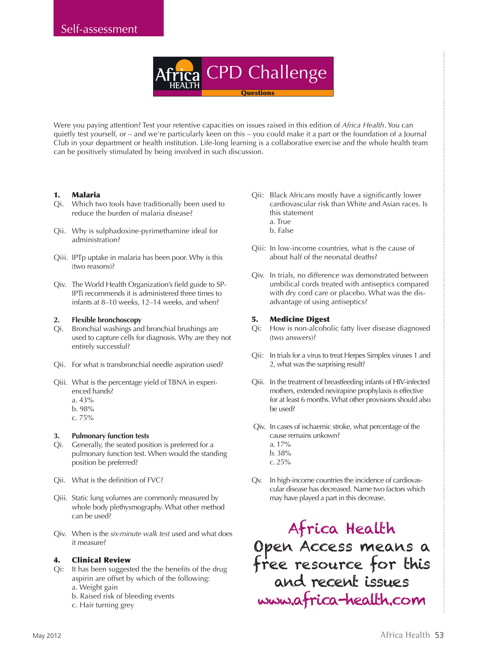CPD Challenge **Questions** 

Were you paying attention? Test your retentive capacities on issues raised in this edition of *Africa Health*. You can quietly test yourself, or – and we're particularly keen on this – you could make it a part or the foundation of a Journal Club in your department or health institution. Life-long learning is a collaborative exercise and the whole health team can be positively stimulated by being involved in such discussion.

# 1. Malaria

- Qi. Which two tools have traditionally been used to reduce the burden of malaria disease?
- Qii. Why is sulphadoxine-pyrimethamine ideal for administration?
- Qiii. IPTp uptake in malaria has been poor. Why is this (two reasons)?
- Qiv. The World Health Organization's field guide to SP-IPTi recommends it is administered three times to infants at 8–10 weeks, 12–14 weeks, and when?

# **2. Flexible bronchoscopy**

- Qi. Bronchial washings and bronchial brushings are used to capture cells for diagnosis. Why are they not entirely successful?
- Qii. For what is transbronchial needle aspiration used?
- Qiii. What is the percentage yield of TBNA in experienced hands?
	- a. 43%
	- b. 98%
	- c. 75%

# **3. Pulmonary function tests**

- Qi. Generally, the seated position is preferred for a pulmonary function test. When would the standing position be preferred?
- Qii. What is the definition of FVC?
- Qiii. Static lung volumes are commonly measured by whole body plethysmography. What other method can be used?
- Qiv. When is the *six-minute walk test* used and what does it measure?

# 4. Clinical Review

- Qi: It has been suggested the the benefits of the drug aspirin are offset by which of the following: a. Weight gain
	- b. Raised risk of bleeding events
	- c. Hair turning grey
- Qii: Black Africans mostly have a significantly lower cardiovascular risk than White and Asian races. Is this statement
	- a. True
	- b. False
- Qiii: In low-income countries, what is the cause of about half of the neonatal deaths?
- Qiv. In trials, no difference was demonstrated between umbilical cords treated with antiseptics compared with dry cord care or placebo. What was the disadvantage of using antiseptics?

# 5. Medicine Digest

- Qi: How is non-alcoholic fatty liver disease diagnosed (two answers)?
- Qii: In trials for a virus to treat Herpes Simplex viruses 1 and 2, what was the surprising result?
- Qiii. In the treatment of breastfeeding infants of HIV-infected mothers, extended nevirapine prophylaxis is effective for at least 6 months. What other provisions should also be used?
- Qiv. In cases of ischaemic stroke, what percentage of the cause remains unkown? a. 17%
	- b. 38%
	- c. 25%
- Qv. In high-income countries the incidence of cardiovascular disease has decreased. Name two factors which may have played a part in this decrease.

Africa Health Open Access means a free resource for this and recent issues www.africa-health.com